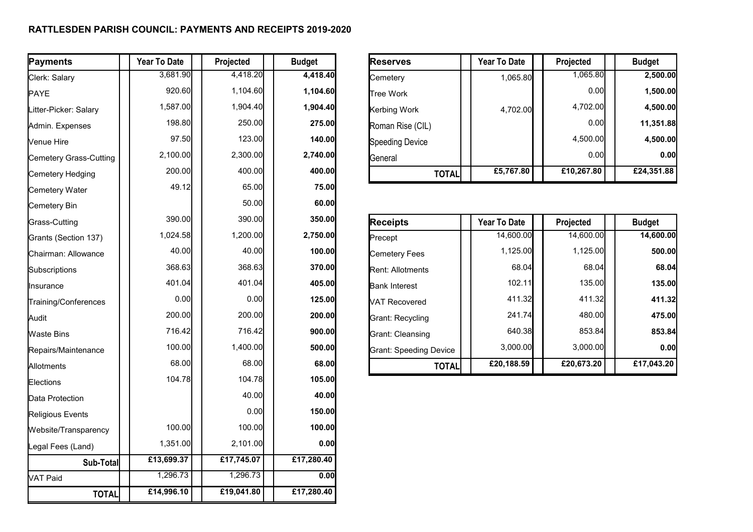## **RATTLESDEN PARISH COUNCIL: PAYMENTS AND RECEIPTS 2019-2020**

| Payments               | Year To Date | Projected  | <b>Budget</b> | <b>Reserves</b>               | Year To Date        | Projected  | <b>Budget</b> |
|------------------------|--------------|------------|---------------|-------------------------------|---------------------|------------|---------------|
| Clerk: Salary          | 3,681.90     | 4,418.20   | 4,418.40      | Cemetery                      | 1,065.80            | 1,065.80   | 2,500.00      |
| <b>PAYE</b>            | 920.60       | 1,104.60   | 1,104.60      | <b>Tree Work</b>              |                     | 0.00       | 1,500.00      |
| Litter-Picker: Salary  | 1,587.00     | 1,904.40   | 1,904.40      | Kerbing Work                  | 4,702.00            | 4,702.00   | 4,500.00      |
| Admin. Expenses        | 198.80       | 250.00     | 275.00        | Roman Rise (CIL)              |                     | 0.00       | 11,351.88     |
| Venue Hire             | 97.50        | 123.00     | 140.00        | <b>Speeding Device</b>        |                     | 4,500.00   | 4,500.00      |
| Cemetery Grass-Cutting | 2,100.00     | 2,300.00   | 2,740.00      | General                       |                     | 0.00       | 0.00          |
| Cemetery Hedging       | 200.00       | 400.00     | 400.00        | <b>TOTAL</b>                  | £5,767.80           | £10,267.80 | £24,351.88    |
| Cemetery Water         | 49.12        | 65.00      | 75.00         |                               |                     |            |               |
| Cemetery Bin           |              | 50.00      | 60.00         |                               |                     |            |               |
| Grass-Cutting          | 390.00       | 390.00     | 350.00        | <b>Receipts</b>               | <b>Year To Date</b> | Projected  | <b>Budget</b> |
| Grants (Section 137)   | 1,024.58     | 1,200.00   | 2,750.00      | Precept                       | 14,600.00           | 14,600.00  | 14,600.00     |
| Chairman: Allowance    | 40.00        | 40.00      | 100.00        | <b>Cemetery Fees</b>          | 1,125.00            | 1,125.00   | 500.00        |
| Subscriptions          | 368.63       | 368.63     | 370.00        | Rent: Allotments              | 68.04               | 68.04      | 68.04         |
| Ilnsurance             | 401.04       | 401.04     | 405.00        | <b>Bank Interest</b>          | 102.11              | 135.00     | 135.00        |
| Training/Conferences   | 0.00         | 0.00       | 125.00        | VAT Recovered                 | 411.32              | 411.32     | 411.32        |
| Audit                  | 200.00       | 200.00     | 200.00        | Grant: Recycling              | 241.74              | 480.00     | 475.00        |
| Waste Bins             | 716.42       | 716.42     | 900.00        | Grant: Cleansing              | 640.38              | 853.84     | 853.84        |
| Repairs/Maintenance    | 100.00       | 1,400.00   | 500.00        | <b>Grant: Speeding Device</b> | 3,000.00            | 3,000.00   | 0.00          |
| Allotments             | 68.00        | 68.00      | 68.00         | <b>TOTAL</b>                  | £20,188.59          | £20,673.20 | £17,043.20    |
| Elections              | 104.78       | 104.78     | 105.00        |                               |                     |            |               |
| Data Protection        |              | 40.00      | 40.00         |                               |                     |            |               |
| Religious Events       |              | 0.00       | 150.00        |                               |                     |            |               |
| Website/Transparency   | 100.00       | 100.00     | 100.00        |                               |                     |            |               |
| Legal Fees (Land)      | 1,351.00     | 2,101.00   | 0.00          |                               |                     |            |               |
| Sub-Total              | £13,699.37   | £17,745.07 | £17,280.40    |                               |                     |            |               |
| VAT Paid               | 1,296.73     | 1,296.73   | 0.00          |                               |                     |            |               |
| <b>TOTAL</b>           | £14,996.10   | £19,041.80 | £17,280.40    |                               |                     |            |               |

| Reserves         | <b>Year To Date</b> | Projected  | <b>Budget</b> |
|------------------|---------------------|------------|---------------|
| Cemetery         | 1,065.80            | 1,065.80   | 2,500.00      |
| lTree Work       |                     | 0.00       | 1,500.00      |
| Kerbing Work     | 4,702.00            | 4,702.00   | 4,500.00      |
| Roman Rise (CIL) |                     | 0.00       | 11,351.88     |
| Speeding Device  |                     | 4,500.00   | 4,500.00      |
| General          |                     | 0.00       | 0.00          |
| <b>TOTAL</b>     | £5,767.80           | £10,267.80 | £24,351.88    |

| <b>Receipts</b>         | <b>Year To Date</b> | Projected  | <b>Budget</b> |
|-------------------------|---------------------|------------|---------------|
| Precept                 | 14,600.00           | 14,600.00  | 14,600.00     |
| Cemetery Fees           | 1,125.00            | 1,125.00   | 500.00        |
| <b>Rent: Allotments</b> | 68.04               | 68.04      | 68.04         |
| Bank Interest           | 102.11              | 135.00     | 135.00        |
| VAT Recovered           | 411.32              | 411.32     | 411.32        |
| Grant: Recycling        | 241.74              | 480.00     | 475.00        |
| Grant: Cleansing        | 640.38              | 853.84     | 853.84        |
| Grant: Speeding Device  | 3.000.00            | 3.000.00   | 0.00          |
| <b>TOTAL</b>            | £20,188.59          | £20,673.20 | £17,043.20    |